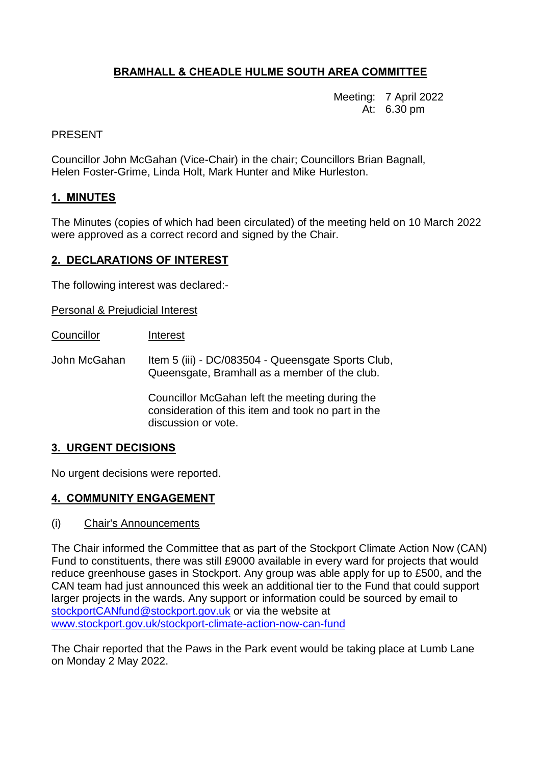# **BRAMHALL & CHEADLE HULME SOUTH AREA COMMITTEE**

Meeting: 7 April 2022 At: 6.30 pm

## PRESENT

Councillor John McGahan (Vice-Chair) in the chair; Councillors Brian Bagnall, Helen Foster-Grime, Linda Holt, Mark Hunter and Mike Hurleston.

## **1. MINUTES**

The Minutes (copies of which had been circulated) of the meeting held on 10 March 2022 were approved as a correct record and signed by the Chair.

## **2. DECLARATIONS OF INTEREST**

The following interest was declared:-

Personal & Prejudicial Interest

- Councillor Interest
- John McGahan Item 5 (iii) DC/083504 Queensgate Sports Club, Queensgate, Bramhall as a member of the club.

Councillor McGahan left the meeting during the consideration of this item and took no part in the discussion or vote.

#### **3. URGENT DECISIONS**

No urgent decisions were reported.

# **4. COMMUNITY ENGAGEMENT**

(i) Chair's Announcements

The Chair informed the Committee that as part of the Stockport Climate Action Now (CAN) Fund to constituents, there was still £9000 available in every ward for projects that would reduce greenhouse gases in Stockport. Any group was able apply for up to £500, and the CAN team had just announced this week an additional tier to the Fund that could support larger projects in the wards. Any support or information could be sourced by email to [stockportCANfund@stockport.gov.uk](mailto:stockportCANfund@stockport.gov.uk) or via the website at [www.stockport.gov.uk/stockport-climate-action-now-can-fund](http://www.stockport.gov.uk/stockport-climate-action-now-can-fund)

The Chair reported that the Paws in the Park event would be taking place at Lumb Lane on Monday 2 May 2022.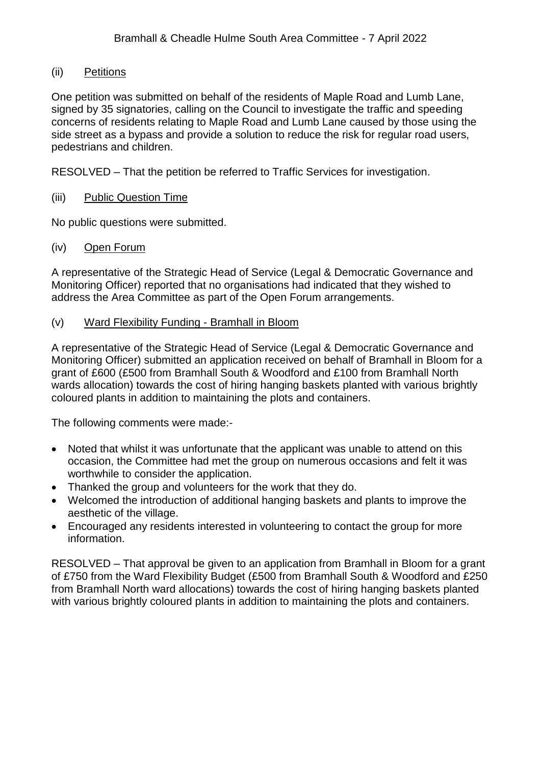## (ii) Petitions

One petition was submitted on behalf of the residents of Maple Road and Lumb Lane, signed by 35 signatories, calling on the Council to investigate the traffic and speeding concerns of residents relating to Maple Road and Lumb Lane caused by those using the side street as a bypass and provide a solution to reduce the risk for regular road users, pedestrians and children.

RESOLVED – That the petition be referred to Traffic Services for investigation.

#### (iii) Public Question Time

No public questions were submitted.

#### (iv) Open Forum

A representative of the Strategic Head of Service (Legal & Democratic Governance and Monitoring Officer) reported that no organisations had indicated that they wished to address the Area Committee as part of the Open Forum arrangements.

## (v) Ward Flexibility Funding - Bramhall in Bloom

A representative of the Strategic Head of Service (Legal & Democratic Governance and Monitoring Officer) submitted an application received on behalf of Bramhall in Bloom for a grant of £600 (£500 from Bramhall South & Woodford and £100 from Bramhall North wards allocation) towards the cost of hiring hanging baskets planted with various brightly coloured plants in addition to maintaining the plots and containers.

The following comments were made:-

- Noted that whilst it was unfortunate that the applicant was unable to attend on this occasion, the Committee had met the group on numerous occasions and felt it was worthwhile to consider the application.
- Thanked the group and volunteers for the work that they do.
- Welcomed the introduction of additional hanging baskets and plants to improve the aesthetic of the village.
- Encouraged any residents interested in volunteering to contact the group for more information.

RESOLVED – That approval be given to an application from Bramhall in Bloom for a grant of £750 from the Ward Flexibility Budget (£500 from Bramhall South & Woodford and £250 from Bramhall North ward allocations) towards the cost of hiring hanging baskets planted with various brightly coloured plants in addition to maintaining the plots and containers.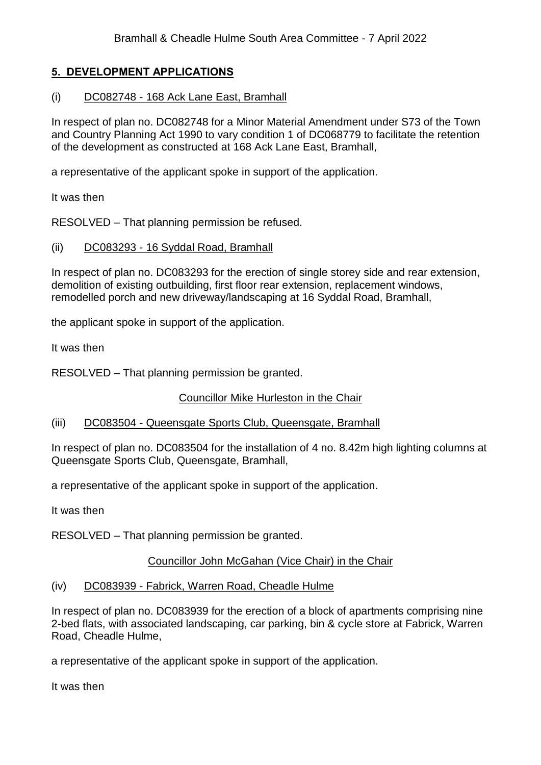# **5. DEVELOPMENT APPLICATIONS**

#### (i) DC082748 - 168 Ack Lane East, Bramhall

In respect of plan no. DC082748 for a Minor Material Amendment under S73 of the Town and Country Planning Act 1990 to vary condition 1 of DC068779 to facilitate the retention of the development as constructed at 168 Ack Lane East, Bramhall,

a representative of the applicant spoke in support of the application.

It was then

RESOLVED – That planning permission be refused.

#### (ii) DC083293 - 16 Syddal Road, Bramhall

In respect of plan no. DC083293 for the erection of single storey side and rear extension, demolition of existing outbuilding, first floor rear extension, replacement windows, remodelled porch and new driveway/landscaping at 16 Syddal Road, Bramhall,

the applicant spoke in support of the application.

It was then

RESOLVED – That planning permission be granted.

Councillor Mike Hurleston in the Chair

#### (iii) DC083504 - Queensgate Sports Club, Queensgate, Bramhall

In respect of plan no. DC083504 for the installation of 4 no. 8.42m high lighting columns at Queensgate Sports Club, Queensgate, Bramhall,

a representative of the applicant spoke in support of the application.

It was then

RESOLVED – That planning permission be granted.

#### Councillor John McGahan (Vice Chair) in the Chair

(iv) DC083939 - Fabrick, Warren Road, Cheadle Hulme

In respect of plan no. DC083939 for the erection of a block of apartments comprising nine 2-bed flats, with associated landscaping, car parking, bin & cycle store at Fabrick, Warren Road, Cheadle Hulme,

a representative of the applicant spoke in support of the application.

It was then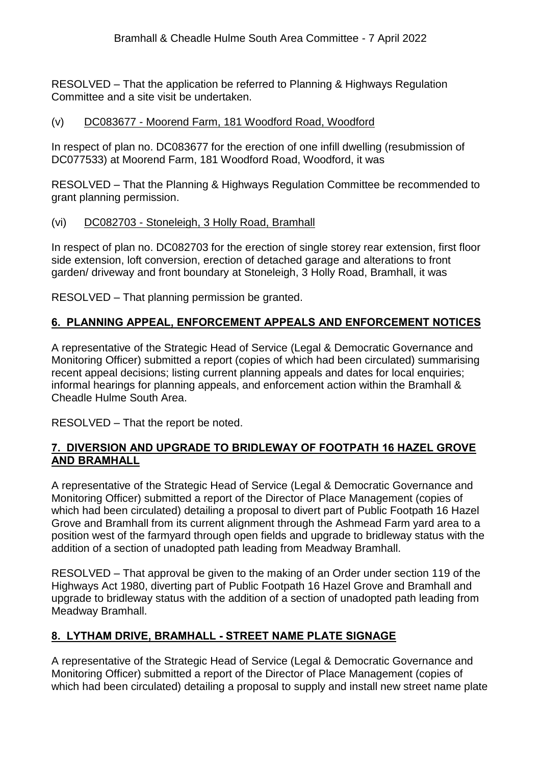RESOLVED – That the application be referred to Planning & Highways Regulation Committee and a site visit be undertaken.

# (v) DC083677 - Moorend Farm, 181 Woodford Road, Woodford

In respect of plan no. DC083677 for the erection of one infill dwelling (resubmission of DC077533) at Moorend Farm, 181 Woodford Road, Woodford, it was

RESOLVED – That the Planning & Highways Regulation Committee be recommended to grant planning permission.

## (vi) DC082703 - Stoneleigh, 3 Holly Road, Bramhall

In respect of plan no. DC082703 for the erection of single storey rear extension, first floor side extension, loft conversion, erection of detached garage and alterations to front garden/ driveway and front boundary at Stoneleigh, 3 Holly Road, Bramhall, it was

RESOLVED – That planning permission be granted.

# **6. PLANNING APPEAL, ENFORCEMENT APPEALS AND ENFORCEMENT NOTICES**

A representative of the Strategic Head of Service (Legal & Democratic Governance and Monitoring Officer) submitted a report (copies of which had been circulated) summarising recent appeal decisions; listing current planning appeals and dates for local enquiries; informal hearings for planning appeals, and enforcement action within the Bramhall & Cheadle Hulme South Area.

RESOLVED – That the report be noted.

# **7. DIVERSION AND UPGRADE TO BRIDLEWAY OF FOOTPATH 16 HAZEL GROVE AND BRAMHALL**

A representative of the Strategic Head of Service (Legal & Democratic Governance and Monitoring Officer) submitted a report of the Director of Place Management (copies of which had been circulated) detailing a proposal to divert part of Public Footpath 16 Hazel Grove and Bramhall from its current alignment through the Ashmead Farm yard area to a position west of the farmyard through open fields and upgrade to bridleway status with the addition of a section of unadopted path leading from Meadway Bramhall.

RESOLVED – That approval be given to the making of an Order under section 119 of the Highways Act 1980, diverting part of Public Footpath 16 Hazel Grove and Bramhall and upgrade to bridleway status with the addition of a section of unadopted path leading from Meadway Bramhall.

# **8. LYTHAM DRIVE, BRAMHALL - STREET NAME PLATE SIGNAGE**

A representative of the Strategic Head of Service (Legal & Democratic Governance and Monitoring Officer) submitted a report of the Director of Place Management (copies of which had been circulated) detailing a proposal to supply and install new street name plate